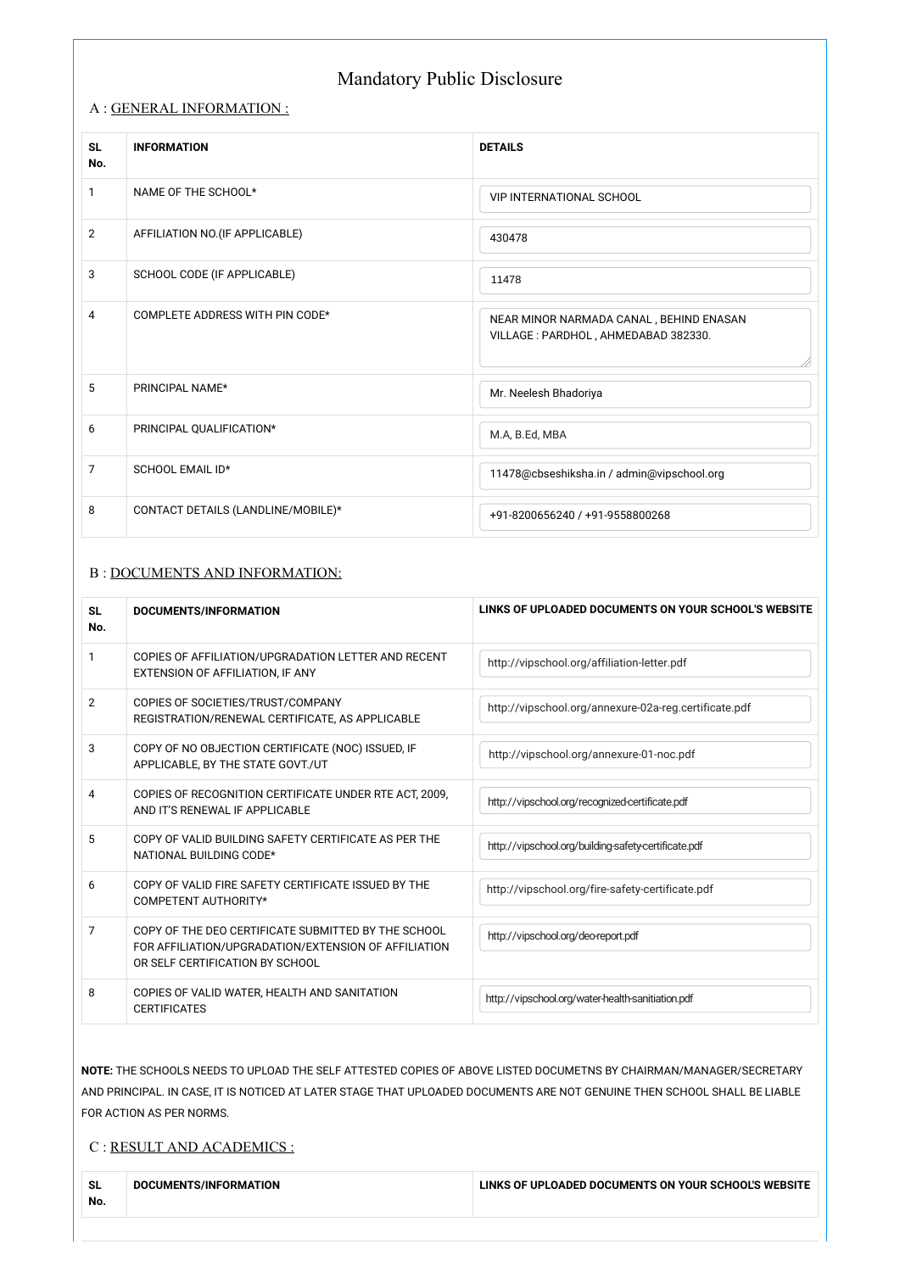### A : GENERAL INFORMATION :

### B : DOCUMENTS AND INFORMATION:

| <b>SL</b><br>No. | <b>INFORMATION</b>                 | <b>DETAILS</b>                                                                  |
|------------------|------------------------------------|---------------------------------------------------------------------------------|
| 1                | NAME OF THE SCHOOL*                | <b>VIP INTERNATIONAL SCHOOL</b>                                                 |
| $\overline{2}$   | AFFILIATION NO.(IF APPLICABLE)     | 430478                                                                          |
| 3                | SCHOOL CODE (IF APPLICABLE)        | 11478                                                                           |
| $\overline{4}$   | COMPLETE ADDRESS WITH PIN CODE*    | NEAR MINOR NARMADA CANAL, BEHIND ENASAN<br>VILLAGE : PARDHOL, AHMEDABAD 382330. |
| 5                | PRINCIPAL NAME*                    | Mr. Neelesh Bhadoriya                                                           |
| 6                | PRINCIPAL QUALIFICATION*           | M.A, B.Ed, MBA                                                                  |
| $\overline{7}$   | <b>SCHOOL EMAIL ID*</b>            | 11478@cbseshiksha.in / admin@vipschool.org                                      |
| 8                | CONTACT DETAILS (LANDLINE/MOBILE)* | +91-8200656240 / +91-9558800268                                                 |

| <b>SL</b><br>No. | <b>DOCUMENTS/INFORMATION</b>                                                                                                                                                                                                                                                                             | LINKS OF UPLOADED DOCUMENTS ON YOUR SCHOOL'S WEBSITE  |  |
|------------------|----------------------------------------------------------------------------------------------------------------------------------------------------------------------------------------------------------------------------------------------------------------------------------------------------------|-------------------------------------------------------|--|
| 1                | COPIES OF AFFILIATION/UPGRADATION LETTER AND RECENT<br>EXTENSION OF AFFILIATION, IF ANY                                                                                                                                                                                                                  | http://vipschool.org/affiliation-letter.pdf           |  |
| $\overline{2}$   | COPIES OF SOCIETIES/TRUST/COMPANY<br>REGISTRATION/RENEWAL CERTIFICATE, AS APPLICABLE                                                                                                                                                                                                                     | http://vipschool.org/annexure-02a-reg.certificate.pdf |  |
| 3                | COPY OF NO OBJECTION CERTIFICATE (NOC) ISSUED, IF<br>APPLICABLE, BY THE STATE GOVT./UT                                                                                                                                                                                                                   | http://vipschool.org/annexure-01-noc.pdf              |  |
| 4                | COPIES OF RECOGNITION CERTIFICATE UNDER RTE ACT, 2009,<br>AND IT'S RENEWAL IF APPLICABLE                                                                                                                                                                                                                 | http://vipschool.org/recognized-certificate.pdf       |  |
| 5                | COPY OF VALID BUILDING SAFETY CERTIFICATE AS PER THE<br>NATIONAL BUILDING CODE*                                                                                                                                                                                                                          | http://vipschool.org/building-safety-certificate.pdf  |  |
| 6                | COPY OF VALID FIRE SAFETY CERTIFICATE ISSUED BY THE<br>COMPETENT AUTHORITY*                                                                                                                                                                                                                              | http://vipschool.org/fire-safety-certificate.pdf      |  |
| 7                | COPY OF THE DEO CERTIFICATE SUBMITTED BY THE SCHOOL<br>FOR AFFILIATION/UPGRADATION/EXTENSION OF AFFILIATION<br>OR SELF CERTIFICATION BY SCHOOL                                                                                                                                                           | http://vipschool.org/deo-report.pdf                   |  |
| 8                | COPIES OF VALID WATER, HEALTH AND SANITATION<br><b>CERTIFICATES</b>                                                                                                                                                                                                                                      | http://vipschool.org/water-health-sanitiation.pdf     |  |
|                  | NOTE: THE SCHOOLS NEEDS TO UPLOAD THE SELF ATTESTED COPIES OF ABOVE LISTED DOCUMETNS BY CHAIRMAN/MANAGER/SECRETARY<br>AND PRINCIPAL. IN CASE, IT IS NOTICED AT LATER STAGE THAT UPLOADED DOCUMENTS ARE NOT GENUINE THEN SCHOOL SHALL BE LIABLE<br>FOR ACTION AS PER NORMS.<br>C : RESULT AND ACADEMICS : |                                                       |  |
| <b>SL</b><br>No. | DOCUMENTS/INFORMATION                                                                                                                                                                                                                                                                                    | LINKS OF UPLOADED DOCUMENTS ON YOUR SCHOOL'S WEBSITE  |  |

# Mandatory Public Disclosure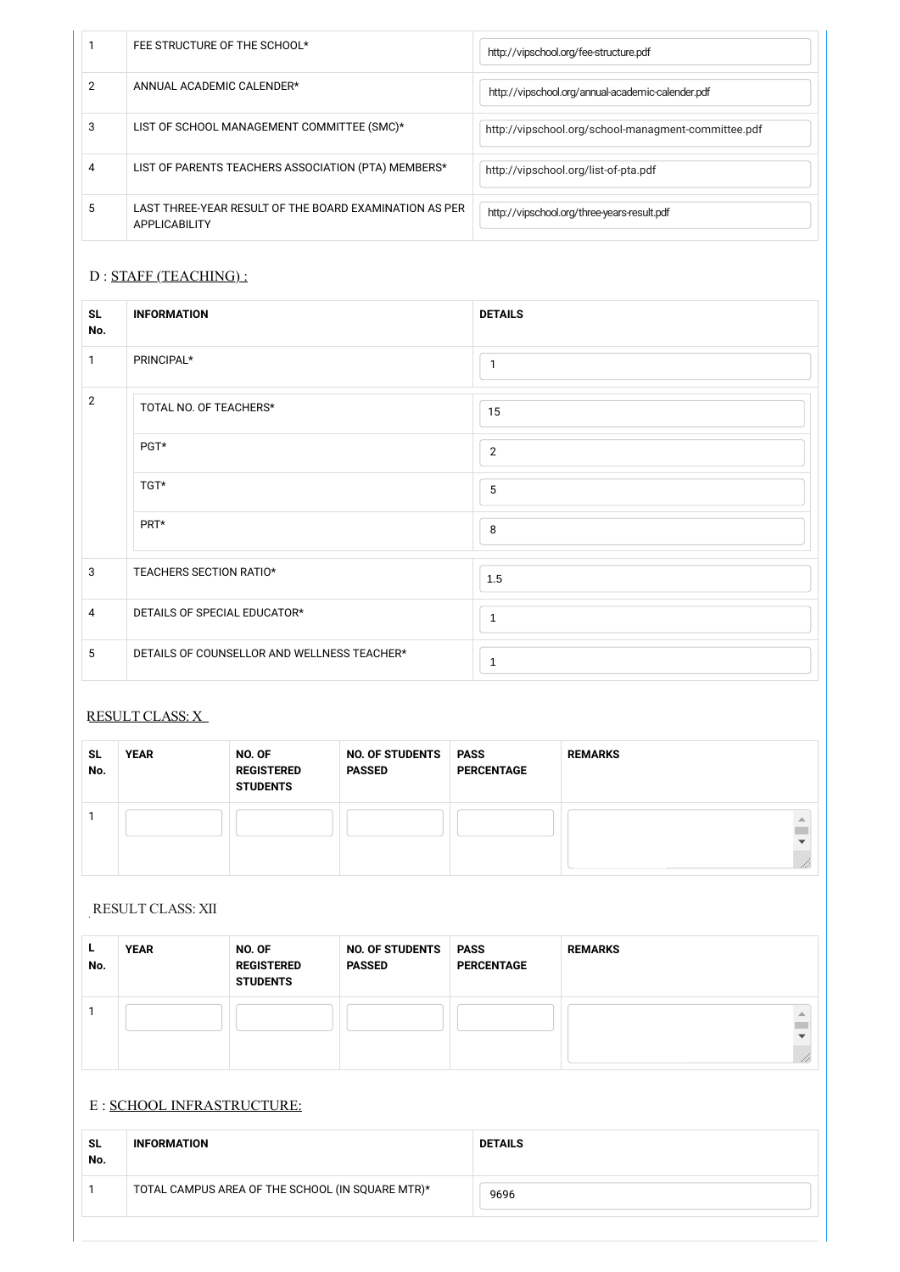| <b>SL</b><br>No. | <b>YEAR</b> | NO. OF<br><b>REGISTERED</b><br><b>STUDENTS</b> | <b>NO. OF STUDENTS</b><br><b>PASSED</b> | <b>PASS</b><br><b>PERCENTAGE</b> | <b>REMARKS</b> |
|------------------|-------------|------------------------------------------------|-----------------------------------------|----------------------------------|----------------|
|                  |             |                                                |                                         |                                  |                |

|    | FEE STRUCTURE OF THE SCHOOL*                                            | http://vipschool.org/fee-structure.pdf              |
|----|-------------------------------------------------------------------------|-----------------------------------------------------|
|    | ANNUAL ACADEMIC CALENDER*                                               | http://vipschool.org/annual-academic-calender.pdf   |
| 3  | LIST OF SCHOOL MANAGEMENT COMMITTEE (SMC)*                              | http://vipschool.org/school-managment-committee.pdf |
|    | LIST OF PARENTS TEACHERS ASSOCIATION (PTA) MEMBERS*                     | http://vipschool.org/list-of-pta.pdf                |
| .5 | LAST THREE-YEAR RESULT OF THE BOARD EXAMINATION AS PER<br>APPLICABILITY | http://vipschool.org/three-years-result.pdf         |

## D : STAFF (TEACHING) :

| <b>SL</b><br>No. | <b>INFORMATION</b>                          | <b>DETAILS</b> |
|------------------|---------------------------------------------|----------------|
| 1                | PRINCIPAL*                                  | $\mathbf{1}$   |
| $\overline{2}$   | TOTAL NO. OF TEACHERS*                      | 15             |
|                  | PGT*                                        | $\overline{2}$ |
|                  | TGT*                                        | 5              |
|                  | PRT*                                        | 8              |
| $\mathbf{3}$     | TEACHERS SECTION RATIO*                     | 1.5            |
| $\overline{4}$   | DETAILS OF SPECIAL EDUCATOR*                | $\mathbf{1}$   |
| 5                | DETAILS OF COUNSELLOR AND WELLNESS TEACHER* | 1              |

| н.<br>No. | <b>YEAR</b> | NO. OF<br><b>REGISTERED</b><br><b>STUDENTS</b> | <b>NO. OF STUDENTS</b><br><b>PASSED</b> | <b>PASS</b><br><b>PERCENTAGE</b> | <b>REMARKS</b> |
|-----------|-------------|------------------------------------------------|-----------------------------------------|----------------------------------|----------------|
|           |             |                                                |                                         |                                  | $\frac{1}{2}$  |

### E : SCHOOL INFRASTRUCTURE:

| <b>SL</b><br>No. | <b>INFORMATION</b>                               | <b>DETAILS</b> |
|------------------|--------------------------------------------------|----------------|
|                  | TOTAL CAMPUS AREA OF THE SCHOOL (IN SQUARE MTR)* | 9696           |
|                  |                                                  |                |

## RESULT CLASS: X

RESULT CLASS: XII